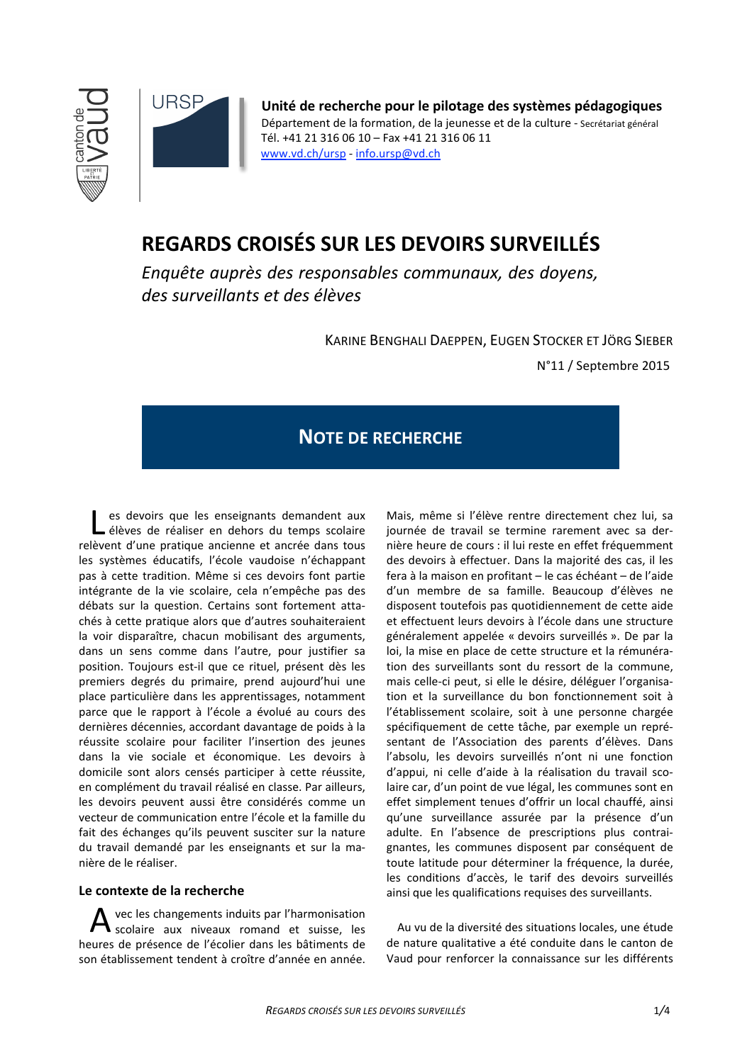



Unité de recherche pour le pilotage des systèmes pédagogiques Département de la formation, de la jeunesse et de la culture - Secrétariat général Tél. +41 21 316 06 10 - Fax +41 21 316 06 11 www.vd.ch/ursp - info.ursp@vd.ch

# REGARDS CROISÉS SUR LES DEVOIRS SURVEILLÉS

Enquête quprès des responsables communaux, des dovens. des surveillants et des élèves

KARINE BENGHALI DAEPPEN, EUGEN STOCKER ET JÖRG SIEBER

N°11 / Septembre 2015

## **NOTE DE RECHERCHE**

es devoirs que les enseignants demandent aux élèves de réaliser en dehors du temps scolaire relèvent d'une pratique ancienne et ancrée dans tous les systèmes éducatifs, l'école vaudoise n'échappant pas à cette tradition. Même si ces devoirs font partie intégrante de la vie scolaire, cela n'empêche pas des débats sur la question. Certains sont fortement attachés à cette pratique alors que d'autres souhaiteraient la voir disparaître, chacun mobilisant des arguments, dans un sens comme dans l'autre, pour justifier sa position. Toujours est-il que ce rituel, présent dès les premiers degrés du primaire, prend aujourd'hui une place particulière dans les apprentissages, notamment parce que le rapport à l'école a évolué au cours des dernières décennies, accordant davantage de poids à la réussite scolaire pour faciliter l'insertion des jeunes dans la vie sociale et économique. Les devoirs à domicile sont alors censés participer à cette réussite, en complément du travail réalisé en classe. Par ailleurs, les devoirs peuvent aussi être considérés comme un vecteur de communication entre l'école et la famille du fait des échanges qu'ils peuvent susciter sur la nature du travail demandé par les enseignants et sur la manière de le réaliser.

## Le contexte de la recherche

vec les changements induits par l'harmonisation scolaire aux niveaux romand et suisse, les heures de présence de l'écolier dans les bâtiments de son établissement tendent à croître d'année en année.

Mais, même si l'élève rentre directement chez lui, sa journée de travail se termine rarement avec sa dernière heure de cours : il lui reste en effet fréquemment des devoirs à effectuer. Dans la majorité des cas, il les fera à la maison en profitant - le cas échéant - de l'aide d'un membre de sa famille. Beaucoup d'élèves ne disposent toutefois pas quotidiennement de cette aide et effectuent leurs devoirs à l'école dans une structure généralement appelée « devoirs surveillés ». De par la loi, la mise en place de cette structure et la rémunération des surveillants sont du ressort de la commune, mais celle-ci peut, si elle le désire, déléguer l'organisation et la surveillance du bon fonctionnement soit à l'établissement scolaire, soit à une personne chargée spécifiquement de cette tâche, par exemple un représentant de l'Association des parents d'élèves. Dans l'absolu, les devoirs surveillés n'ont ni une fonction d'appui, ni celle d'aide à la réalisation du travail scolaire car, d'un point de vue légal, les communes sont en effet simplement tenues d'offrir un local chauffé, ainsi qu'une surveillance assurée par la présence d'un adulte. En l'absence de prescriptions plus contraignantes, les communes disposent par conséquent de toute latitude pour déterminer la fréquence, la durée, les conditions d'accès, le tarif des devoirs surveillés ainsi que les qualifications requises des surveillants.

Au vu de la diversité des situations locales, une étude de nature qualitative a été conduite dans le canton de Vaud pour renforcer la connaissance sur les différents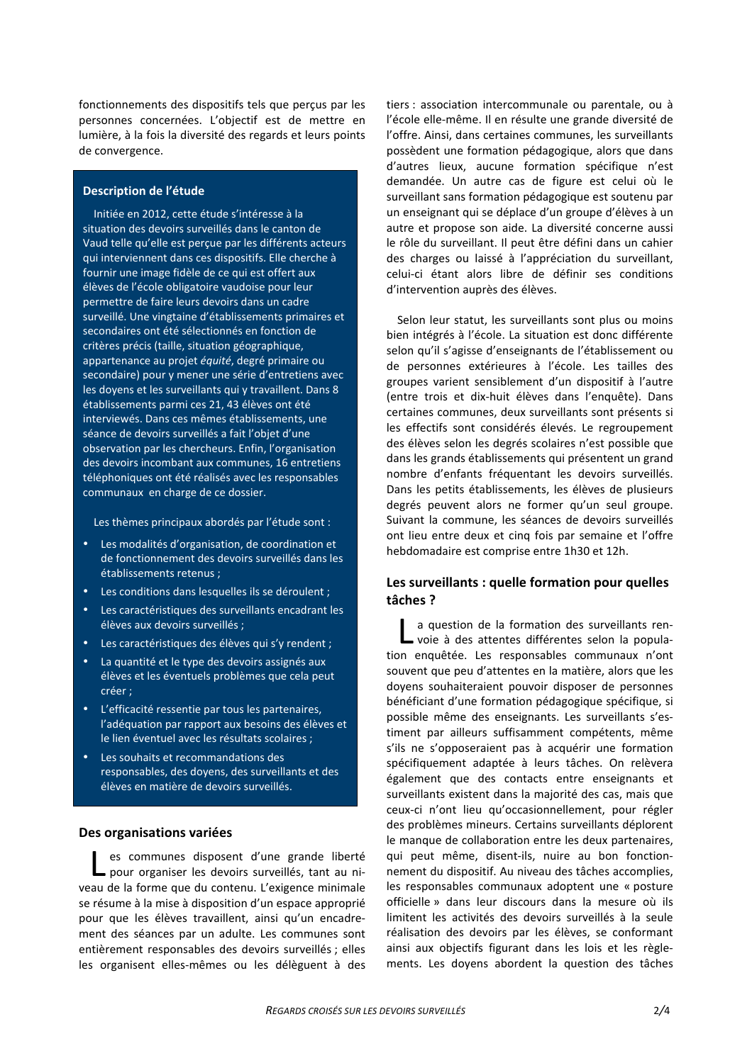fonctionnements des dispositifs tels que perçus par les personnes concernées. L'objectif est de mettre en lumière, à la fois la diversité des regards et leurs points de convergence.

#### Description de l'étude

Initiée en 2012, cette étude s'intéresse à la situation des devoirs surveillés dans le canton de Vaud telle qu'elle est perçue par les différents acteurs qui interviennent dans ces dispositifs. Elle cherche à fournir une image fidèle de ce qui est offert aux élèves de l'école obligatoire vaudoise pour leur permettre de faire leurs devoirs dans un cadre surveillé. Une vingtaine d'établissements primaires et secondaires ont été sélectionnés en fonction de critères précis (taille, situation géographique, appartenance au projet équité, degré primaire ou secondaire) pour y mener une série d'entretiens avec les doyens et les surveillants qui y travaillent. Dans 8 établissements parmi ces 21, 43 élèves ont été interviewés. Dans ces mêmes établissements, une séance de devoirs surveillés a fait l'objet d'une observation par les chercheurs. Enfin, l'organisation des devoirs incombant aux communes, 16 entretiens téléphoniques ont été réalisés avec les responsables communaux en charge de ce dossier.

Les thèmes principaux abordés par l'étude sont :

- Les modalités d'organisation, de coordination et de fonctionnement des devoirs surveillés dans les établissements retenus ;
- Les conditions dans lesquelles ils se déroulent :
- Les caractéristiques des surveillants encadrant les élèves aux devoirs surveillés :
- Les caractéristiques des élèves qui s'y rendent ;
- La quantité et le type des devoirs assignés aux élèves et les éventuels problèmes que cela peut créer ;
- L'efficacité ressentie par tous les partenaires, l'adéquation par rapport aux besoins des élèves et le lien éventuel avec les résultats scolaires ;
- Les souhaits et recommandations des responsables, des dovens, des surveillants et des élèves en matière de devoirs surveillés.

#### Des organisations variées

es communes disposent d'une grande liberté - pour organiser les devoirs surveillés, tant au niveau de la forme que du contenu. L'exigence minimale se résume à la mise à disposition d'un espace approprié pour que les élèves travaillent, ainsi qu'un encadrement des séances par un adulte. Les communes sont entièrement responsables des devoirs surveillés ; elles les organisent elles-mêmes ou les délèguent à des

tiers : association intercommunale ou parentale, ou à l'école elle-même. Il en résulte une grande diversité de l'offre. Ainsi, dans certaines communes, les surveillants possèdent une formation pédagogique, alors que dans d'autres lieux, aucune formation spécifique n'est demandée. Un autre cas de figure est celui où le surveillant sans formation pédagogique est soutenu par un enseignant qui se déplace d'un groupe d'élèves à un autre et propose son aide. La diversité concerne aussi le rôle du surveillant. Il peut être défini dans un cahier des charges ou laissé à l'appréciation du surveillant. celui-ci étant alors libre de définir ses conditions d'intervention auprès des élèves.

Selon leur statut, les surveillants sont plus ou moins bien intégrés à l'école. La situation est donc différente selon qu'il s'agisse d'enseignants de l'établissement ou de personnes extérieures à l'école. Les tailles des groupes varient sensiblement d'un dispositif à l'autre (entre trois et dix-huit élèves dans l'enguête). Dans certaines communes, deux surveillants sont présents si les effectifs sont considérés élevés. Le regroupement des élèves selon les degrés scolaires n'est possible que dans les grands établissements qui présentent un grand nombre d'enfants fréquentant les devoirs surveillés. Dans les petits établissements, les élèves de plusieurs degrés peuvent alors ne former qu'un seul groupe. Suivant la commune, les séances de devoirs surveillés ont lieu entre deux et cing fois par semaine et l'offre hebdomadaire est comprise entre 1h30 et 12h.

### Les surveillants : quelle formation pour quelles tâches?

a question de la formation des surveillants ren--voie à des attentes différentes selon la population enquêtée. Les responsables communaux n'ont souvent que peu d'attentes en la matière, alors que les dovens souhaiteraient pouvoir disposer de personnes bénéficiant d'une formation pédagogique spécifique, si possible même des enseignants. Les surveillants s'estiment par ailleurs suffisamment compétents, même s'ils ne s'opposeraient pas à acquérir une formation spécifiquement adaptée à leurs tâches. On relèvera également que des contacts entre enseignants et surveillants existent dans la majorité des cas, mais que ceux-ci n'ont lieu qu'occasionnellement, pour régler des problèmes mineurs. Certains surveillants déplorent le manque de collaboration entre les deux partenaires, qui peut même, disent-ils, nuire au bon fonctionnement du dispositif. Au niveau des tâches accomplies, les responsables communaux adoptent une « posture officielle » dans leur discours dans la mesure où ils limitent les activités des devoirs surveillés à la seule réalisation des devoirs par les élèves, se conformant ainsi aux objectifs figurant dans les lois et les règlements. Les dovens abordent la question des tâches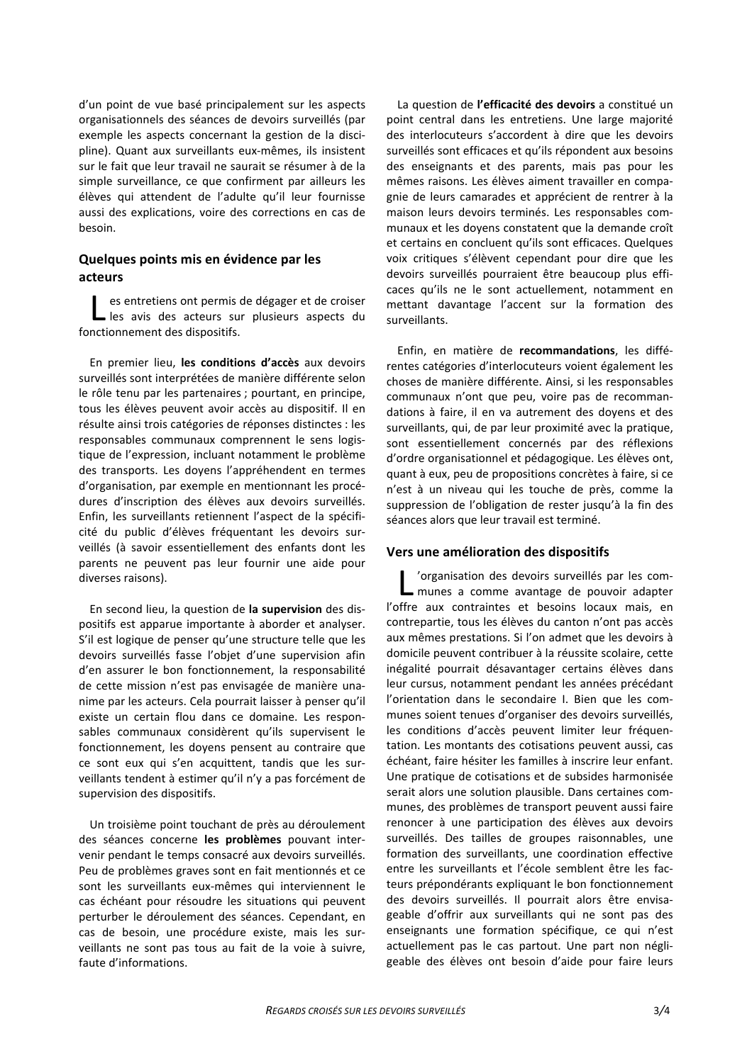d'un point de vue basé principalement sur les aspects organisationnels des séances de devoirs surveillés (par exemple les aspects concernant la gestion de la discipline). Quant aux surveillants eux-mêmes, ils insistent sur le fait que leur travail ne saurait se résumer à de la simple surveillance, ce que confirment par ailleurs les élèves qui attendent de l'adulte qu'il leur fournisse aussi des explications, voire des corrections en cas de besoin.

## Quelques points mis en évidence par les acteurs

es entretiens ont permis de dégager et de croiser les avis des acteurs sur plusieurs aspects du fonctionnement des dispositifs.

En premier lieu, les conditions d'accès aux devoirs surveillés sont interprétées de manière différente selon le rôle tenu par les partenaires ; pourtant, en principe, tous les élèves peuvent avoir accès au dispositif. Il en résulte ainsi trois catégories de réponses distinctes : les responsables communaux comprennent le sens logistique de l'expression, incluant notamment le problème des transports. Les doyens l'appréhendent en termes d'organisation, par exemple en mentionnant les procédures d'inscription des élèves aux devoirs surveillés. Enfin, les surveillants retiennent l'aspect de la spécificité du public d'élèves fréquentant les devoirs surveillés (à savoir essentiellement des enfants dont les parents ne peuvent pas leur fournir une aide pour diverses raisons).

En second lieu, la question de la supervision des dispositifs est apparue importante à aborder et analyser. S'il est logique de penser qu'une structure telle que les devoirs surveillés fasse l'objet d'une supervision afin d'en assurer le bon fonctionnement, la responsabilité de cette mission n'est pas envisagée de manière unanime par les acteurs. Cela pourrait laisser à penser qu'il existe un certain flou dans ce domaine. Les responsables communaux considèrent qu'ils supervisent le fonctionnement, les doyens pensent au contraire que ce sont eux qui s'en acquittent, tandis que les surveillants tendent à estimer qu'il n'y a pas forcément de supervision des dispositifs.

Un troisième point touchant de près au déroulement des séances concerne les problèmes pouvant intervenir pendant le temps consacré aux devoirs surveillés. Peu de problèmes graves sont en fait mentionnés et ce sont les surveillants eux-mêmes qui interviennent le cas échéant pour résoudre les situations qui peuvent perturber le déroulement des séances. Cependant, en cas de besoin, une procédure existe, mais les surveillants ne sont pas tous au fait de la voie à suivre, faute d'informations.

La question de l'efficacité des devoirs a constitué un point central dans les entretiens. Une large majorité des interlocuteurs s'accordent à dire que les devoirs surveillés sont efficaces et qu'ils répondent aux besoins des enseignants et des parents, mais pas pour les mêmes raisons. Les élèves aiment travailler en compagnie de leurs camarades et apprécient de rentrer à la maison leurs devoirs terminés. Les responsables communaux et les doyens constatent que la demande croît et certains en concluent qu'ils sont efficaces. Quelques voix critiques s'élèvent cependant pour dire que les devoirs surveillés pourraient être beaucoup plus efficaces qu'ils ne le sont actuellement, notamment en mettant davantage l'accent sur la formation des surveillants.

Enfin, en matière de recommandations, les différentes catégories d'interlocuteurs voient également les choses de manière différente. Ainsi, si les responsables communaux n'ont que peu, voire pas de recommandations à faire, il en va autrement des doyens et des surveillants, qui, de par leur proximité avec la pratique, sont essentiellement concernés par des réflexions d'ordre organisationnel et pédagogique. Les élèves ont, quant à eux, peu de propositions concrètes à faire, si ce n'est à un niveau qui les touche de près, comme la suppression de l'obligation de rester jusqu'à la fin des séances alors que leur travail est terminé.

#### Vers une amélioration des dispositifs

'organisation des devoirs surveillés par les communes a comme avantage de pouvoir adapter l'offre aux contraintes et besoins locaux mais, en contrepartie, tous les élèves du canton n'ont pas accès aux mêmes prestations. Si l'on admet que les devoirs à domicile peuvent contribuer à la réussite scolaire, cette inégalité pourrait désavantager certains élèves dans leur cursus, notamment pendant les années précédant l'orientation dans le secondaire I. Bien que les communes soient tenues d'organiser des devoirs surveillés, les conditions d'accès peuvent limiter leur fréquentation. Les montants des cotisations peuvent aussi, cas échéant, faire hésiter les familles à inscrire leur enfant. Une pratique de cotisations et de subsides harmonisée serait alors une solution plausible. Dans certaines communes, des problèmes de transport peuvent aussi faire renoncer à une participation des élèves aux devoirs surveillés. Des tailles de groupes raisonnables, une formation des surveillants, une coordination effective entre les surveillants et l'école semblent être les facteurs prépondérants expliquant le bon fonctionnement des devoirs surveillés. Il pourrait alors être envisageable d'offrir aux surveillants qui ne sont pas des enseignants une formation spécifique, ce qui n'est actuellement pas le cas partout. Une part non négligeable des élèves ont besoin d'aide pour faire leurs